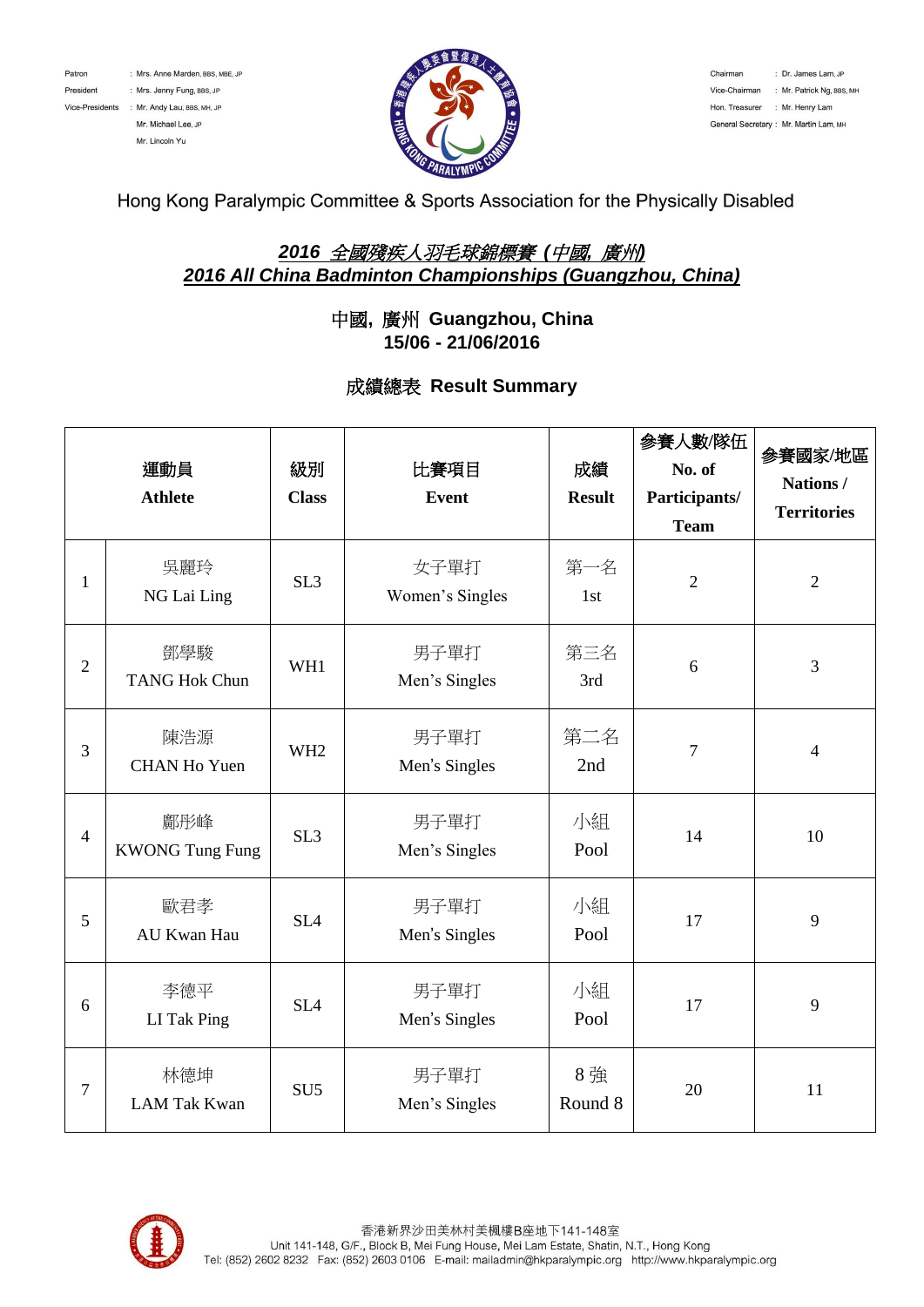



Chairman : Dr. James Lam, JP Vice-Chairman : Mr. Patrick Ng, BBS, MH Hon. Treasurer : Mr. Henry Lam General Secretary : Mr. Martin Lam, MH

Hong Kong Paralympic Committee & Sports Association for the Physically Disabled

## *2016* 全國殘疾人羽毛球錦標賽 *(*中國*,* 廣州*) 2016 All China Badminton Championships (Guangzhou, China)*

## 中國**,** 廣州 **Guangzhou, China 15/06 - 21/06/2016**

## 成績總表 **Result Summary**

|                | 運動員<br><b>Athlete</b>         | 級別<br><b>Class</b> | 比賽項目<br><b>Event</b>    | 成績<br><b>Result</b> | 參賽人數/隊伍<br>No. of<br>Participants/<br><b>Team</b> | 參賽國家/地區<br>Nations/<br><b>Territories</b> |
|----------------|-------------------------------|--------------------|-------------------------|---------------------|---------------------------------------------------|-------------------------------------------|
| $\mathbf{1}$   | 吳麗玲<br>NG Lai Ling            | SL <sub>3</sub>    | 女子單打<br>Women's Singles | 第一名<br>1st          | $\overline{2}$                                    | $\overline{2}$                            |
| $\overline{2}$ | 鄧學駿<br><b>TANG Hok Chun</b>   | WH1                | 男子單打<br>Men's Singles   | 第三名<br>3rd          | 6                                                 | $\overline{3}$                            |
| 3              | 陳浩源<br><b>CHAN Ho Yuen</b>    | WH <sub>2</sub>    | 男子單打<br>Men's Singles   | 第二名<br>2nd          | $\overline{7}$                                    | $\overline{4}$                            |
| $\overline{4}$ | 鄺彤峰<br><b>KWONG Tung Fung</b> | SL <sub>3</sub>    | 男子單打<br>Men's Singles   | 小組<br>Pool          | 14                                                | 10                                        |
| 5              | 歐君孝<br>AU Kwan Hau            | SL <sub>4</sub>    | 男子單打<br>Men's Singles   | 小組<br>Pool          | 17                                                | 9                                         |
| 6              | 李德平<br>LI Tak Ping            | SL <sub>4</sub>    | 男子單打<br>Men's Singles   | 小組<br>Pool          | 17                                                | 9                                         |
| 7              | 林德坤<br><b>LAM Tak Kwan</b>    | SU <sub>5</sub>    | 男子單打<br>Men's Singles   | 8強<br>Round 8       | 20                                                | 11                                        |